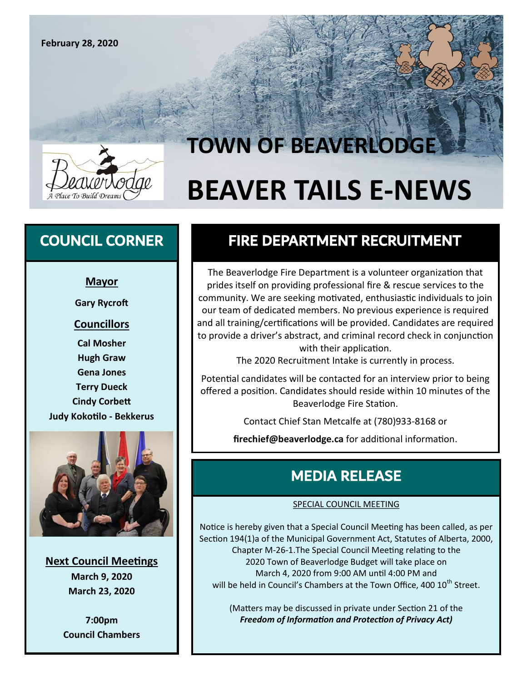

# **TOWN OF BEAVERLODGE BEAVER TAILS E-NEWS**

## COUNCIL CORNER

## **Mayor**

**Gary Rycroft**

### **Councillors**

**Cal Mosher Hugh Graw Gena Jones Terry Dueck Cindy Corbett Judy Kokotilo - Bekkerus**



**Next Council Meetings March 9, 2020 March 23, 2020**

> **7:00pm Council Chambers**

## FIRE DEPARTMENT RECRUITMENT

The Beaverlodge Fire Department is a volunteer organization that prides itself on providing professional fire & rescue services to the community. We are seeking motivated, enthusiastic individuals to join our team of dedicated members. No previous experience is required and all training/certifications will be provided. Candidates are required to provide a driver's abstract, and criminal record check in conjunction with their application.

The 2020 Recruitment Intake is currently in process.

Potential candidates will be contacted for an interview prior to being offered a position. Candidates should reside within 10 minutes of the Beaverlodge Fire Station.

Contact Chief Stan Metcalfe at (780)933-8168 or

**firechief@beaverlodge.ca** for additional information.

## MEDIA RELEASE

### SPECIAL COUNCIL MEETING

Notice is hereby given that a Special Council Meeting has been called, as per Section 194(1)a of the Municipal Government Act, Statutes of Alberta, 2000, Chapter M-26-1.The Special Council Meeting relating to the 2020 Town of Beaverlodge Budget will take place on March 4, 2020 from 9:00 AM until 4:00 PM and will be held in Council's Chambers at the Town Office, 400 10<sup>th</sup> Street.

> (Matters may be discussed in private under Section 21 of the *Freedom of Information and Protection of Privacy Act)*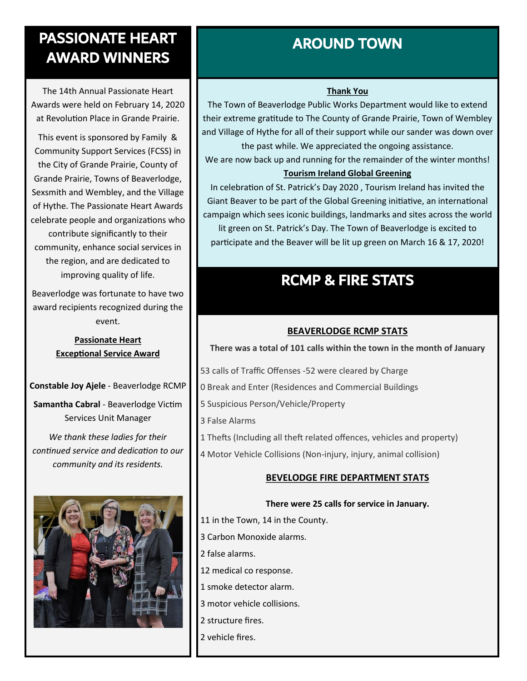## PASSIONATE HEART AWARD WINNERS

The 14th Annual Passionate Heart Awards were held on February 14, 2020 at Revolution Place in Grande Prairie.

This event is sponsored by Family & Community Support Services (FCSS) in the City of Grande Prairie, County of Grande Prairie, Towns of Beaverlodge, Sexsmith and Wembley, and the Village of Hythe. The Passionate Heart Awards celebrate people and organizations who contribute significantly to their community, enhance social services in the region, and are dedicated to improving quality of life.

Beaverlodge was fortunate to have two award recipients recognized during the event.

> **Passionate Heart Exceptional Service Award**

**Constable Joy Ajele** - Beaverlodge RCMP

**Samantha Cabral** - Beaverlodge Victim Services Unit Manager

*We thank these ladies for their continued service and dedication to our community and its residents.* 



## AROUND TOWN

## **Thank You**

The Town of Beaverlodge Public Works Department would like to extend their extreme gratitude to The County of Grande Prairie, Town of Wembley and Village of Hythe for all of their support while our sander was down over the past while. We appreciated the ongoing assistance.

We are now back up and running for the remainder of the winter months!

## **Tourism Ireland Global Greening**

In celebration of St. Patrick's Day 2020 , Tourism Ireland has invited the Giant Beaver to be part of the Global Greening initiative, an international campaign which sees iconic buildings, landmarks and sites across the world

lit green on St. Patrick's Day. The Town of Beaverlodge is excited to participate and the Beaver will be lit up green on March 16 & 17, 2020!

## RCMP & FIRE STATS

## **BEAVERLODGE RCMP STATS**

**There was a total of 101 calls within the town in the month of January**

- 53 calls of Traffic Offenses -52 were cleared by Charge
- 0 Break and Enter (Residences and Commercial Buildings
- 5 Suspicious Person/Vehicle/Property
- 3 False Alarms
- 1 Thefts (Including all theft related offences, vehicles and property)
- 4 Motor Vehicle Collisions (Non-injury, injury, animal collision)

## **BEVELODGE FIRE DEPARTMENT STATS**

### **There were 25 calls for service in January.**

- 11 in the Town, 14 in the County. 3 Carbon Monoxide alarms. 2 false alarms. 12 medical co response. 1 smoke detector alarm.
- 3 motor vehicle collisions.
- 2 structure fires.
- 2 vehicle fires.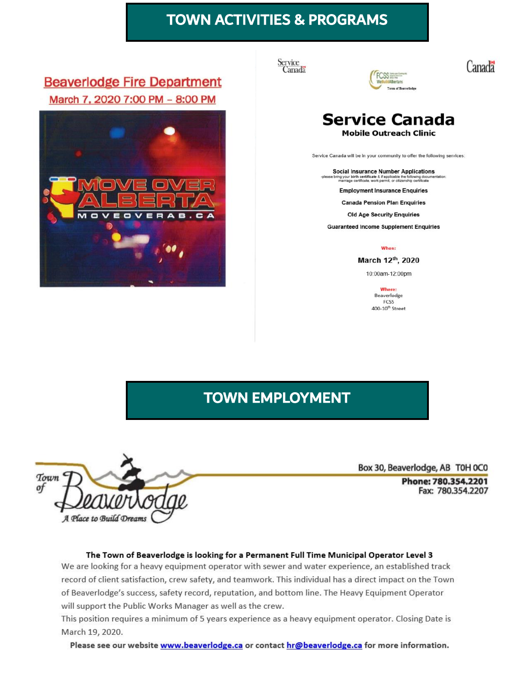## **TOWN ACTIVITIES & PROGRAMS**

## **Beaverlodge Fire Department** March 7, 2020 7:00 PM - 8:00 PM





Canadä

## **Service Canada Mobile Outreach Clinic**

Service Canada will be in your community to offer the following services:

Social Insurance Number Applications<br>e bring your birth certificate & if applicable the following documer<br>marriage certificate, work permit, or citizenship certificate

**Employment Insurance Enquiries** 

**Canada Pension Plan Enquiries** 

**Old Age Security Enquiries** 

**Guaranteed Income Supplement Enquiries** 

When:

### March 12th, 2020

10:00am-12:00pm

Where: Beaverlodge FCSS 400-10<sup>th</sup> Street

## **TOWN EMPLOYMENT**

Town of A Place to Build Dreams

Box 30, Beaverlodge, AB T0H 0C0 Phone: 780.354.2201

Fax: 780.354.2207

### The Town of Beaverlodge is looking for a Permanent Full Time Municipal Operator Level 3

We are looking for a heavy equipment operator with sewer and water experience, an established track record of client satisfaction, crew safety, and teamwork. This individual has a direct impact on the Town of Beaverlodge's success, safety record, reputation, and bottom line. The Heavy Equipment Operator will support the Public Works Manager as well as the crew.

This position requires a minimum of 5 years experience as a heavy equipment operator. Closing Date is March 19, 2020.

Please see our website www.beaverlodge.ca or contact hr@beaverlodge.ca for more information.